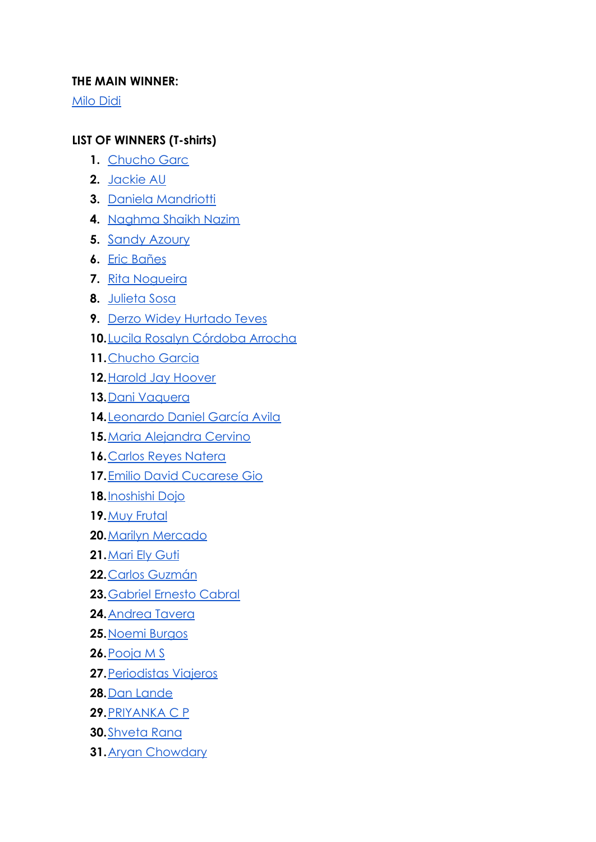## **THE MAIN WINNER:**

[Milo Didi](https://www.instagram.com/p/CLKO7mSrngl)

## **LIST OF WINNERS (T-shirts)**

- 1. [Chucho Garc](https://www.instagram.com/p/CRpJhCuN0IC/)
- **2.** [Jackie AU](https://www.instagram.com/p/CSfmwFzs9_w)
- **3.** [Daniela Mandriotti](https://www.instagram.com/p/COjAWQkAGtP)
- **4.** [Naghma Shaikh Nazim](https://www.instagram.com/p/CLwZ2IvLaMa)
- **5.** Sandy [Azoury](https://www.instagram.com/p/CNvCfR0sBNB)
- **6.** [Eric Bañes](https://www.instagram.com/p/CPSowbAM_oO)
- **7.** [Rita Nogueira](https://www.instagram.com/p/CM2hMfUMoXH)
- **8.** [Julieta Sosa](https://www.instagram.com/p/CN6Kh4epcEx)
- **9.** [Derzo Widey Hurtado Teves](https://www.instagram.com/p/CObDkEarBt4)
- **10.**[Lucila Rosalyn Córdoba Arrocha](https://www.instagram.com/p/CLcAQlMnxu3)
- **11.**[Chucho Garcia](https://www.instagram.com/p/CRpJhCuN0IC)
- **12.**[Harold Jay Hoover](https://www.instagram.com/p/CNbTRSdDCml)
- **13.**[Dani Vaquera](https://www.instagram.com/p/CN-VY99rOWD)
- **14.**[Leonardo Daniel García Avila](https://www.instagram.com/p/CPDoMcZH9Y2)
- **15.**[Maria Alejandra Cervino](https://www.instagram.com/p/CLXCIBTFApt)
- **16.**[Carlos Reyes Natera](https://www.instagram.com/p/CLYActorgaa)
- **17.**[Emilio David Cucarese Gio](https://www.instagram.com/p/COER_IXDHLV)
- **18.**[Inoshishi Dojo](https://www.instagram.com/p/CQBwMnNjLuZ)
- **19.**[Muy Frutal](https://www.instagram.com/p/CLffNiWF-4d)
- **20.**[Marilyn Mercado](https://www.instagram.com/p/COBXet_p_IJ)
- **21.**[Mari Ely Guti](https://www.instagram.com/p/CNLrJPVlxjE)
- **22.**[Carlos Guzmán](https://www.instagram.com/p/CRNTN_fDQBK)
- **23.**[Gabriel Ernesto Cabral](https://www.instagram.com/p/CMzwUu3gKmL)
- **24.**[Andrea Tavera](https://www.instagram.com/p/BXZfIsNAqnm)
- **25.**[Noemi Burgos](https://www.instagram.com/p/CRTCCTKL8AP)
- **26.**[Pooja M S](https://www.instagram.com/p/CSHU2jMnk-h)
- **27.**[Periodistas Viajeros](https://www.instagram.com/p/COiwnWlBlbc)
- **28.**[Dan Lande](https://www.instagram.com/p/CNvuFJxgPHx)
- **29.**[PRIYANKA C P](https://www.instagram.com/p/CRgaOaujnXZ)
- **30.**[Shveta Rana](https://www.instagram.com/p/CTjmmbgKPI6)
- **31.**[Aryan Chowdary](https://www.instagram.com/p/CQAwm_IARzE)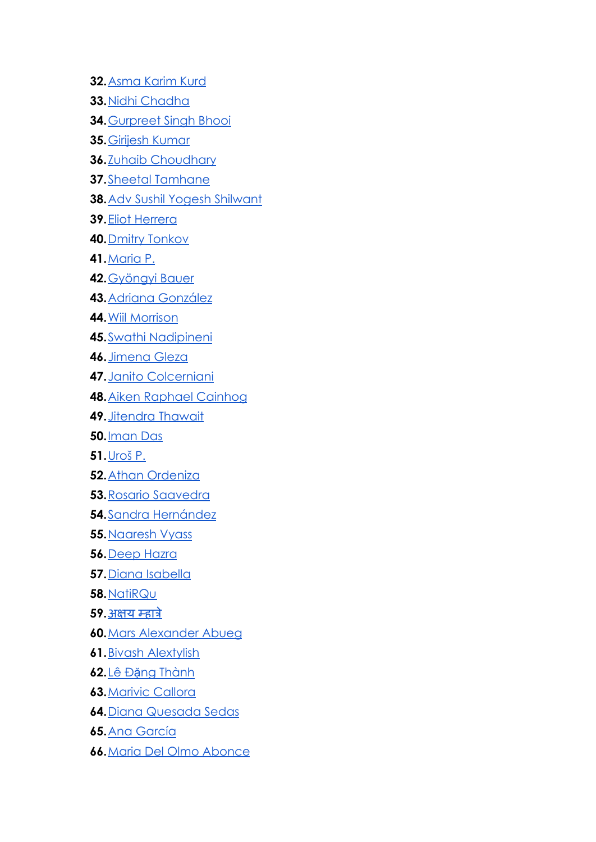- **32.**[Asma Karim Kurd](https://www.instagram.com/p/CMeWFWHr6ns)
- **33.**[Nidhi Chadha](https://www.instagram.com/p/CSuHAPtMF1I)
- **34.**[Gurpreet Singh Bhooi](https://www.instagram.com/p/CR_tOsihMDF)
- **35.**[Girijesh Kumar](https://www.instagram.com/p/CRd2h-HrHK8)
- **36.**[Zuhaib Choudhary](https://www.instagram.com/p/CRcInZOnqle)
- **37.**[Sheetal Tamhane](https://www.instagram.com/p/CRIgLjtAJgX)
- **38.**[Adv Sushil Yogesh Shilwant](https://www.instagram.com/p/CQvo-BsDQzk)
- **39.**[Eliot Herrera](https://www.instagram.com/p/CRHtN54BjCf)
- **40.**[Dmitry Tonkov](https://www.instagram.com/p/COPmIBghKMD)
- **41.**[Maria P.](https://www.instagram.com/p/CMS8O6IhUjh)
- **42.**[Gyöngyi Bauer](https://www.instagram.com/p/COfoPs-hCNa)
- **43.**[Adriana González](https://www.instagram.com/p/CSLHFkHLo_y)
- **44.**[Wiil Morrison](https://www.instagram.com/p/CR2xJDMqJLK)
- **45.**[Swathi Nadipineni](https://www.instagram.com/p/CQiiEzUHG2f)
- **46.**[Jimena Gleza](https://www.instagram.com/p/CRpPQiUMliX)
- **47.**[Janito Colcerniani](https://www.instagram.com/p/CM2OrCFDbXC)
- **48.**[Aiken Raphael Cainhog](https://www.instagram.com/p/CPsreTIJyAS)
- **49.**[Jitendra Thawait](https://www.instagram.com/p/CRBAZ9mJRt7)
- **50.**[Iman Das](https://www.instagram.com/p/CRRVLjNB6wJ)
- **51.**[Uroš P.](https://www.instagram.com/p/CLzU4wPJ3Pp)
- **52.**[Athan Ordeniza](https://www.instagram.com/p/CRVMrtKBWA5)
- **53.**[Rosario Saavedra](https://www.instagram.com/p/COjtFcktr_0)
- **54.**[Sandra Hernández](https://www.instagram.com/p/CSneV9eDFBn)
- **55.**[Naaresh Vyass](https://www.instagram.com/p/CSddb8vjrMB)
- **56.**[Deep Hazra](https://www.instagram.com/p/CRhLqrdjur_)
- **57.**[Diana Isabella](https://www.instagram.com/p/CRPDNuRMeGv)
- **58.**[NatiRQu](https://www.instagram.com/p/COjee1ylyF2)
- **59.**[अक्षय](https://www.facebook.com/akshay.mhatre.3192?__cft__%5B0%5D=AZXE_ol5kK5TxsOkXziDjD2rUrez9Ux96o_wSSRy3gwTg4PEAYOq0IW6vRxJCPcKWrW090KDPiCr8nb27TK9Kti4jD7jTDoIoqy17nNK_UTFeJOHHLTQqg5JK7JBbL2at4E&__tn__=-UC%2CP-R) म्हात्रे
- **60.**[Mars Alexander Abueg](https://www.facebook.com/marsalexander.abueg?__cft__%5B0%5D=AZXrDEdQe0jlo2YmN8KiXON79mPqKhlcZvGOywCQmhxhakEUiaxdOFvqpSLtLiWpTQkcshxNQQVAg26dYGJuVL9oO6VRzwJTFxGGEhRgGip_fSTbmsLOvi5bCqyjoZiIR50&__tn__=-%5DC%2CP-R)
- **61.**[Bivash Alextylish](https://www.facebook.com/bivash.alex?__cft__%5B0%5D=AZWIopJw6MOsAezk6W7EHL9FRJ1IclzdGd_W-d_0xaXcCdjlQl8uKzDDumsVt5mPNI-DYOkzAR4gQiG2AApZZv1b0fRxxXoSRtXOXzc7YNogiVzooNGkk1KsIdEgmg2plA_mukwroC2E7bShWUj5eE8k&__tn__=-%5DC%2CP-R)
- **62.**Lê Đặ[ng Thành](https://www.facebook.com/LeDangThanh?__cft__%5B0%5D=AZUO3pfjs0NcIQPyXpXUHW-3qGjQ7J-e5ZnWSug_UwP-De4H8IzdkkiWOjkwIbLYbZ1TZ9OMk3NTtRfMC3ZSv9SIpsErMefDNgTMz5-NJwTtyfo4Ole34tUE2ffjGD8iPUp9Z9m3Pw0BzpcnEttdCm8O&__tn__=-%5DC%2CP-R)
- **63.**[Marivic Callora](https://www.facebook.com/marivic.callora?__cft__%5B0%5D=AZV_gIT8oi-N54Hy0ixn2_AMhUpQV7L2aQkE7FQP6PZcMdmexk-yJsfS4MRSlq46O9Lgac7u3UyRI19Idl885HAdcPBnC9CK3PQNemCUnppeJQY8d9nWCT_7snvg4uSH_1A&__tn__=-UC%2CP-R)
- **64.**[Diana Quesada Sedas](https://www.facebook.com/quesedi?__cft__%5B0%5D=AZVZvQt4N83HVO3hfWI5HbY-EKtvQcJWnxJnPHzOapZEai8ZdzaxtIkGdV5aN3bw9CH_Pck4d4FmJTH4DY7Dfg_wD2nOfvI2r3tKNdbze7b-XEKFbV5xumrPPJZZNeZ7mVU&__tn__=-%5DC%2CP-R)
- **65.**[Ana García](https://www.facebook.com/ana.grc.vzqz?__cft__%5B0%5D=AZWfzgkGRmxunHAM0k7AADM3MLP1o8mIsp9omPbgyRWTMW24O3tJjbgaAXv2d2jKeG6bx2T_BseIr1B6JXzwt9gBK8oO3z7OauKRDpaEOYfGXJwUs4SXOqyQZIHPoBm3d0dYrMeIhe1B_jG4VWCW-gzK&__tn__=-%5DC%2CP-R)
- **66.**[Maria Del Olmo Abonce](https://www.facebook.com/MCracingteam?__cft__%5B0%5D=AZUmcLBh-XiFUA1Jd4F7N86Cj8_NyL2VIXXRvHbEl5PtlNzDoCSY84QmoO1QKiw1_kOBcnBZZ_CS-5lNv39cfJlogO_P1YgzbwTXRWxmQ9GR76h3oZlV5FAzsWifWhCmyVOsu1K25VVkwfODD26GQjMd&__tn__=-%5DC%2CP-R)